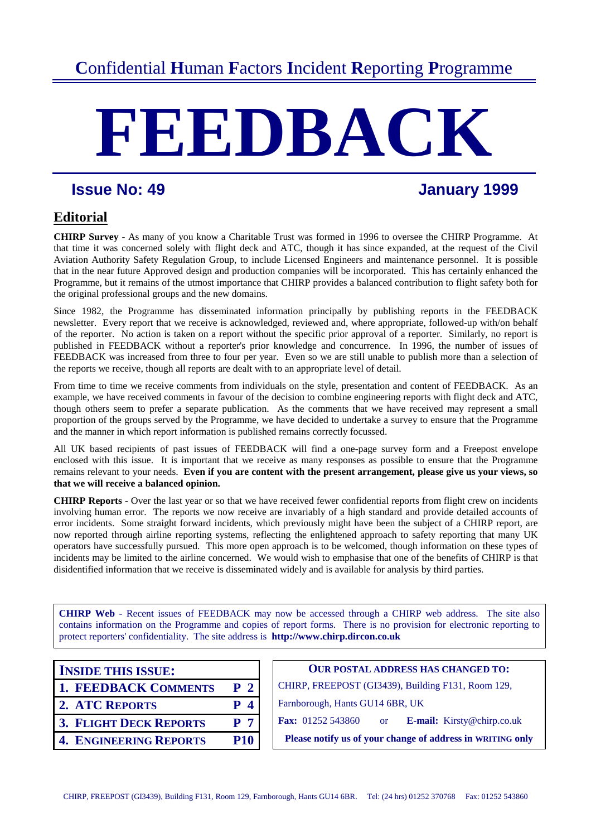# **C**onfidential **H**uman **F**actors **I**ncident **R**eporting **P**rogramme

# **FEEDBACK**

# **Issue No: 49 January 1999**

# **Editorial**

**CHIRP Survey** - As many of you know a Charitable Trust was formed in 1996 to oversee the CHIRP Programme. At that time it was concerned solely with flight deck and ATC, though it has since expanded, at the request of the Civil Aviation Authority Safety Regulation Group, to include Licensed Engineers and maintenance personnel. It is possible that in the near future Approved design and production companies will be incorporated. This has certainly enhanced the Programme, but it remains of the utmost importance that CHIRP provides a balanced contribution to flight safety both for the original professional groups and the new domains.

Since 1982, the Programme has disseminated information principally by publishing reports in the FEEDBACK newsletter. Every report that we receive is acknowledged, reviewed and, where appropriate, followed-up with/on behalf of the reporter. No action is taken on a report without the specific prior approval of a reporter. Similarly, no report is published in FEEDBACK without a reporter's prior knowledge and concurrence. In 1996, the number of issues of FEEDBACK was increased from three to four per year. Even so we are still unable to publish more than a selection of the reports we receive, though all reports are dealt with to an appropriate level of detail.

From time to time we receive comments from individuals on the style, presentation and content of FEEDBACK. As an example, we have received comments in favour of the decision to combine engineering reports with flight deck and ATC, though others seem to prefer a separate publication. As the comments that we have received may represent a small proportion of the groups served by the Programme, we have decided to undertake a survey to ensure that the Programme and the manner in which report information is published remains correctly focussed.

All UK based recipients of past issues of FEEDBACK will find a one-page survey form and a Freepost envelope enclosed with this issue. It is important that we receive as many responses as possible to ensure that the Programme remains relevant to your needs. **Even if you are content with the present arrangement, please give us your views, so that we will receive a balanced opinion.**

**CHIRP Reports** - Over the last year or so that we have received fewer confidential reports from flight crew on incidents involving human error. The reports we now receive are invariably of a high standard and provide detailed accounts of error incidents. Some straight forward incidents, which previously might have been the subject of a CHIRP report, are now reported through airline reporting systems, reflecting the enlightened approach to safety reporting that many UK operators have successfully pursued. This more open approach is to be welcomed, though information on these types of incidents may be limited to the airline concerned. We would wish to emphasise that one of the benefits of CHIRP is that disidentified information that we receive is disseminated widely and is available for analysis by third parties.

**CHIRP Web** - Recent issues of FEEDBACK may now be accessed through a CHIRP web address. The site also contains information on the Programme and copies of report forms. There is no provision for electronic reporting to protect reporters' confidentiality.The site address is **http://www.chirp.dircon.co.uk**

| <b>INSIDE THIS ISSUE:</b> |  |
|---------------------------|--|
|---------------------------|--|

- 
- 
- 
- 

**OUR POSTAL ADDRESS HAS CHANGED TO: 1. FEEDBACK COMMENTS P 2** CHIRP, FREEPOST (GI3439), Building F131, Room 129, **2. ATC REPORTS P 4** Farnborough, Hants GU14 6BR, UK **3. FLIGHT DECK REPORTS** P 7 **Fax:** 01252 543860 or **E-mail:** Kirsty@chirp.co.uk **4. ENGINEERING REPORTS P10** Please notify us of your change of address in WRITING only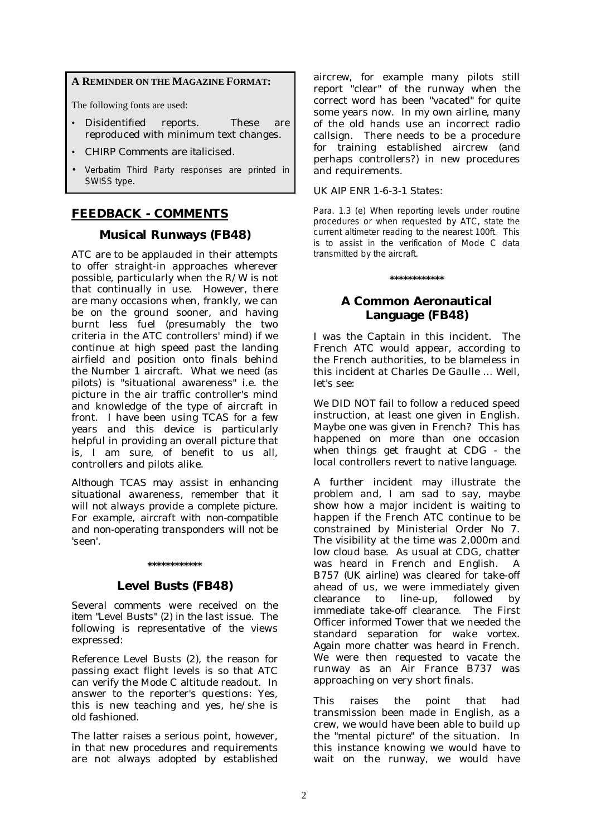#### **A REMINDER ON THE MAGAZINE FORMAT:**

The following fonts are used:

- Disidentified reports. These are reproduced with minimum text changes.
- *CHIRP Comments are italicised.*
- Verbatim Third Party responses are printed in SWISS type.

#### **FEEDBACK - COMMENTS**

#### **Musical Runways (FB48)**

ATC are to be applauded in their attempts to offer straight-in approaches wherever possible, particularly when the R/W is not that continually in use. However, there are many occasions when, frankly, we can be on the ground sooner, and having burnt less fuel (presumably the two criteria in the ATC controllers' mind) if we continue at high speed past the landing airfield and position onto finals behind the Number 1 aircraft. What we need (as pilots) is "situational awareness" i.e. the picture in the air traffic controller's mind and knowledge of the type of aircraft in front. I have been using TCAS for a few years and this device is particularly helpful in providing an overall picture that is, I am sure, of benefit to us all, controllers and pilots alike.

*Although TCAS may assist in enhancing situational awareness, remember that it will not always provide a complete picture. For example, aircraft with non-compatible and non-operating transponders will not be 'seen'.* 

#### **\*\*\*\*\*\*\*\*\*\*\*\***

#### **Level Busts (FB48)**

*Several comments were received on the item "Level Busts" (2) in the last issue. The following is representative of the views expressed:* 

Reference Level Busts (2), the reason for passing exact flight levels is so that ATC can verify the Mode C altitude readout. In answer to the reporter's questions: Yes, this is new teaching and yes, he/she is old fashioned.

The latter raises a serious point, however, in that new procedures and requirements are not always adopted by established aircrew, for example many pilots still report "clear" of the runway when the correct word has been "vacated" for quite some years now. In my own airline, many of the old hands use an incorrect radio callsign. There needs to be a procedure for training established aircrew (and perhaps controllers?) in new procedures and requirements.

#### *UK AIP ENR 1-6-3-1 States:*

Para. 1.3 (e) When reporting levels under routine procedures or when requested by ATC, state the current altimeter reading to the nearest 100ft. This is to assist in the verification of Mode C data transmitted by the aircraft.

#### **\*\*\*\*\*\*\*\*\*\*\*\***

#### **A Common Aeronautical Language (FB48)**

I was the Captain in this incident. The French ATC would appear, according to the French authorities, to be blameless in this incident at Charles De Gaulle … Well, let's see:

We DID NOT fail to follow a reduced speed instruction, at least one given in English. Maybe one was given in French? This has happened on more than one occasion when things get fraught at CDG - the local controllers revert to native language.

A further incident may illustrate the problem and, I am sad to say, maybe show how a major incident is waiting to happen if the French ATC continue to be constrained by Ministerial Order No 7. The visibility at the time was 2,000m and low cloud base. As usual at CDG, chatter was heard in French and English. A B757 *(UK airline)* was cleared for take-off ahead of us, we were immediately given clearance to line-up, followed by immediate take-off clearance. The First Officer informed Tower that we needed the standard separation for wake vortex. Again more chatter was heard in French. We were then requested to vacate the runway as an Air France B737 was approaching on very short finals.

This raises the point that had transmission been made in English, as a crew, we would have been able to build up the "mental picture" of the situation. In this instance knowing we would have to wait on the runway, we would have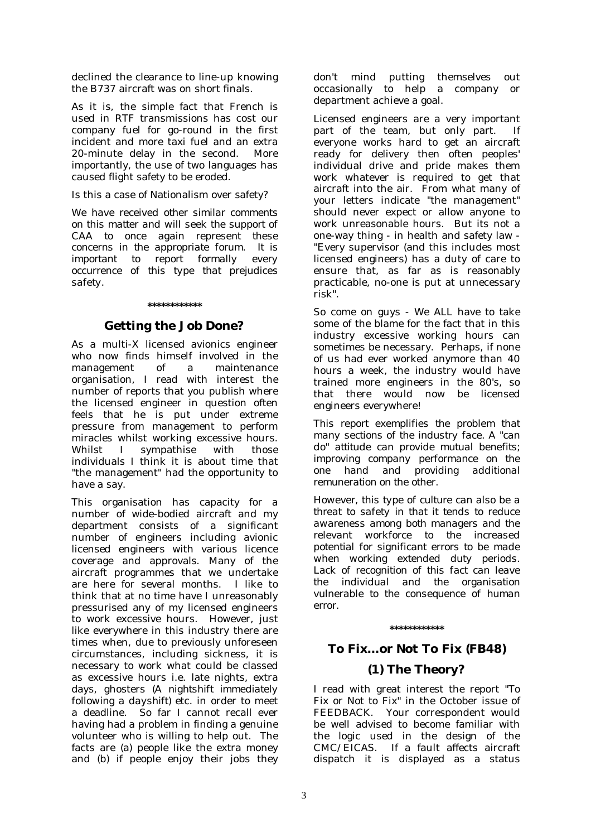declined the clearance to line-up knowing the B737 aircraft was on short finals.

As it is, the simple fact that French is used in RTF transmissions has cost our company fuel for go-round in the first incident and more taxi fuel and an extra 20-minute delay in the second. More importantly, the use of two languages has caused flight safety to be eroded.

Is this a case of Nationalism over safety?

*We have received other similar comments on this matter and will seek the support of CAA to once again represent these concerns in the appropriate forum. It is important to report formally every occurrence of this type that prejudices safety.* 

#### **\*\*\*\*\*\*\*\*\*\*\*\***

#### **Getting the Job Done?**

As a multi-X licensed avionics engineer who now finds himself involved in the management of a maintenance organisation, I read with interest the number of reports that you publish where the licensed engineer in question often feels that he is put under extreme pressure from management to perform miracles whilst working excessive hours. Whilst I sympathise with those individuals I think it is about time that "the management" had the opportunity to have a say.

This organisation has capacity for a number of wide-bodied aircraft and my department consists of a significant number of engineers including avionic licensed engineers with various licence coverage and approvals. Many of the aircraft programmes that we undertake are here for several months. I like to think that at no time have I unreasonably pressurised any of my licensed engineers to work excessive hours. However, just like everywhere in this industry there are times when, due to previously unforeseen circumstances, including sickness, it is necessary to work what could be classed as excessive hours i.e. late nights, extra days, ghosters *(A nightshift immediately following a dayshift)* etc. in order to meet a deadline. So far I cannot recall ever having had a problem in finding a genuine volunteer who is willing to help out. The facts are (a) people like the extra money and (b) if people enjoy their jobs they

don't mind putting themselves out occasionally to help a company or department achieve a goal.

Licensed engineers are a very important part of the team, but only part. If everyone works hard to get an aircraft ready for delivery then often peoples' individual drive and pride makes them work whatever is required to get that aircraft into the air. From what many of your letters indicate "the management" should never expect or allow anyone to work unreasonable hours. But its not a one-way thing - in health and safety law - "Every supervisor (and this includes most licensed engineers) has a duty of care to ensure that, as far as is reasonably practicable, no-one is put at unnecessary risk".

So come on guys - We ALL have to take some of the blame for the fact that in this industry excessive working hours can sometimes be necessary. Perhaps, if none of us had ever worked anymore than 40 hours a week, the industry would have trained more engineers in the 80's, so that there would now be licensed engineers everywhere!

*This report exemplifies the problem that many sections of the industry face. A "can do" attitude can provide mutual benefits; improving company performance on the one hand and providing additional remuneration on the other.* 

*However, this type of culture can also be a threat to safety in that it tends to reduce awareness among both managers and the relevant workforce to the increased potential for significant errors to be made when working extended duty periods. Lack of recognition of this fact can leave the individual and the organisation vulnerable to the consequence of human error.* 

#### **\*\*\*\*\*\*\*\*\*\*\*\***

# **To Fix…or Not To Fix (FB48)**

#### **(1) The Theory?**

I read with great interest the report "To Fix or Not to Fix" in the October issue of FEEDBACK. Your correspondent would be well advised to become familiar with the logic used in the design of the CMC/EICAS. If a fault affects aircraft dispatch it is displayed as a status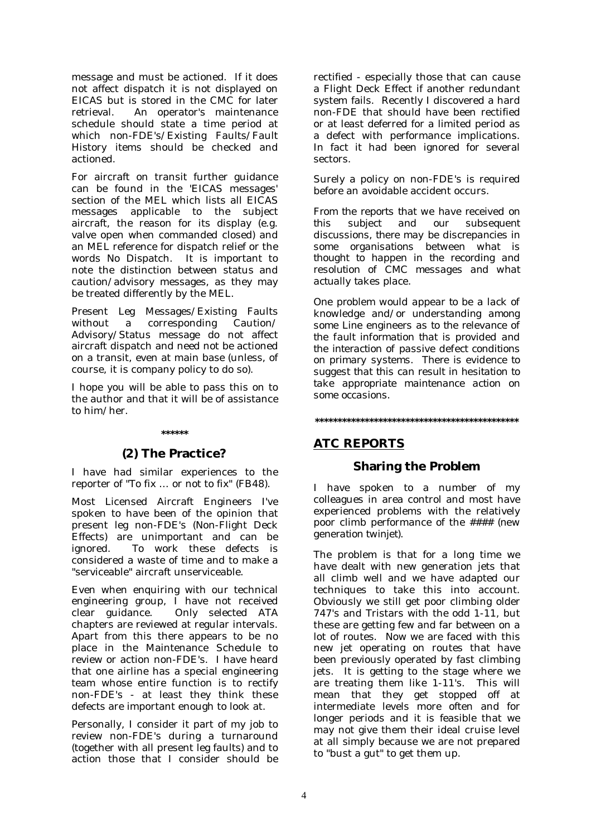message and must be actioned. If it does not affect dispatch it is not displayed on EICAS but is stored in the CMC for later retrieval. An operator's maintenance schedule should state a time period at which non-FDE's/Existing Faults/Fault History items should be checked and actioned.

For aircraft on transit further guidance can be found in the 'EICAS messages' section of the MEL which lists all EICAS messages applicable to the subject aircraft, the reason for its display (e.g. valve open when commanded closed) and an MEL reference for dispatch relief or the words No Dispatch. It is important to note the distinction between status and caution/advisory messages, as they may be treated differently by the MEL.

Present Leg Messages/Existing Faults without a corresponding Caution/ Advisory/Status message do not affect aircraft dispatch and need not be actioned on a transit, even at main base (unless, of course, it is company policy to do so).

I hope you will be able to pass this on to the author and that it will be of assistance to him/her.

## **\*\*\*\*\*\***

#### **(2) The Practice?**

I have had similar experiences to the reporter of "To fix … or not to fix" (FB48).

Most Licensed Aircraft Engineers I've spoken to have been of the opinion that present leg non-FDE's (Non-Flight Deck Effects) are unimportant and can be ignored. To work these defects is considered a waste of time and to make a "serviceable" aircraft unserviceable.

Even when enquiring with our technical engineering group, I have not received clear guidance. Only selected ATA chapters are reviewed at regular intervals. Apart from this there appears to be no place in the Maintenance Schedule to review or action non-FDE's. I have heard that one airline has a special engineering team whose entire function is to rectify non-FDE's - at least they think these defects are important enough to look at.

Personally, I consider it part of my job to review non-FDE's during a turnaround (together with all present leg faults) and to action those that I consider should be

rectified - especially those that can cause a Flight Deck Effect if another redundant system fails. Recently I discovered a hard non-FDE that should have been rectified or at least deferred for a limited period as a defect with performance implications. In fact it had been ignored for several sectors.

Surely a policy on non-FDE's is required before an avoidable accident occurs.

*From the reports that we have received on this subject and our subsequent discussions, there may be discrepancies in some organisations between what is thought to happen in the recording and resolution of CMC messages and what actually takes place.* 

*One problem would appear to be a lack of knowledge and/or understanding among some Line engineers as to the relevance of the fault information that is provided and the interaction of passive defect conditions on primary systems. There is evidence to suggest that this can result in hesitation to take appropriate maintenance action on some occasions.* 

**\*\*\*\*\*\*\*\*\*\*\*\*\*\*\*\*\*\*\*\*\*\*\*\*\*\*\*\*\*\*\*\*\*\*\*\*\*\*\*\*\*\*\*\*\*** 

#### **ATC REPORTS**

#### **Sharing the Problem**

I have spoken to a number of my colleagues in area control and most have experienced problems with the relatively poor climb performance of the #### *(new generation twinjet)*.

The problem is that for a long time we have dealt with new generation jets that all climb well and we have adapted our techniques to take this into account. Obviously we still get poor climbing older 747's and Tristars with the odd 1-11, but these are getting few and far between on a lot of routes. Now we are faced with this new jet operating on routes that have been previously operated by fast climbing jets. It is getting to the stage where we are treating them like 1-11's. This will mean that they get stopped off at intermediate levels more often and for longer periods and it is feasible that we may not give them their ideal cruise level at all simply because we are not prepared to "bust a gut" to get them up.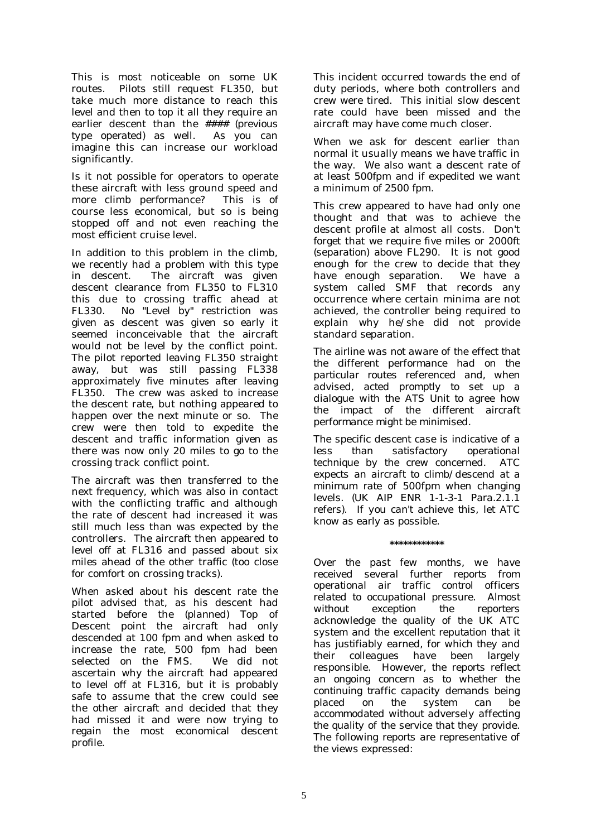This is most noticeable on some UK routes*.* Pilots still request FL350, but take much more distance to reach this level and then to top it all they require an earlier descent than the #### *(previous type operated)* as well. As you can imagine this can increase our workload significantly.

Is it not possible for operators to operate these aircraft with less ground speed and more climb performance? This is of course less economical, but so is being stopped off and not even reaching the most efficient cruise level.

In addition to this problem in the climb, we recently had a problem with this type in descent. The aircraft was given descent clearance from FL350 to FL310 this due to crossing traffic ahead at FL330. No "Level by" restriction was given as descent was given so early it seemed inconceivable that the aircraft would not be level by the conflict point. The pilot reported leaving FL350 straight away, but was still passing FL338 approximately five minutes after leaving FL350. The crew was asked to increase the descent rate, but nothing appeared to happen over the next minute or so. The crew were then told to expedite the descent and traffic information given as there was now only 20 miles to go to the crossing track conflict point.

The aircraft was then transferred to the next frequency, which was also in contact with the conflicting traffic and although the rate of descent had increased it was still much less than was expected by the controllers. The aircraft then appeared to level off at FL316 and passed about six miles ahead of the other traffic (too close for comfort on crossing tracks).

When asked about his descent rate the pilot advised that, as his descent had started before the *(planned)* Top of Descent point the aircraft had only descended at 100 fpm and when asked to increase the rate, 500 fpm had been selected on the FMS. We did not ascertain why the aircraft had appeared to level off at FL316, but it is probably safe to assume that the crew could see the other aircraft and decided that they had missed it and were now trying to regain the most economical descent profile.

This incident occurred towards the end of duty periods, where both controllers and crew were tired. This initial slow descent rate could have been missed and the aircraft may have come much closer.

When we ask for descent earlier than normal it usually means we have traffic in the way. We also want a descent rate of at least 500fpm and if expedited we want a minimum of 2500 fpm.

This crew appeared to have had only one thought and that was to achieve the descent profile at almost all costs. Don't forget that we require five miles or 2000ft *(separation)* above FL290. It is not good enough for the crew to decide that they have enough separation. We have a system called SMF that records any occurrence where certain minima are not achieved, the controller being required to explain why he/she did not provide standard separation.

*The airline was not aware of the effect that the different performance had on the particular routes referenced and, when advised, acted promptly to set up a dialogue with the ATS Unit to agree how the impact of the different aircraft performance might be minimised.* 

*The specific descent case is indicative of a less than satisfactory operational technique by the crew concerned. ATC expects an aircraft to climb/descend at a minimum rate of 500fpm when changing levels. (UK AIP ENR 1-1-3-1 Para.2.1.1 refers). If you can't achieve this, let ATC know as early as possible.* 

**\*\*\*\*\*\*\*\*\*\*\*\*** 

*Over the past few months, we have received several further reports from operational air traffic control officers related to occupational pressure. Almost without exception the reporters acknowledge the quality of the UK ATC system and the excellent reputation that it has justifiably earned, for which they and their colleagues have been largely responsible. However, the reports reflect an ongoing concern as to whether the continuing traffic capacity demands being placed on the system can be accommodated without adversely affecting the quality of the service that they provide. The following reports are representative of the views expressed:*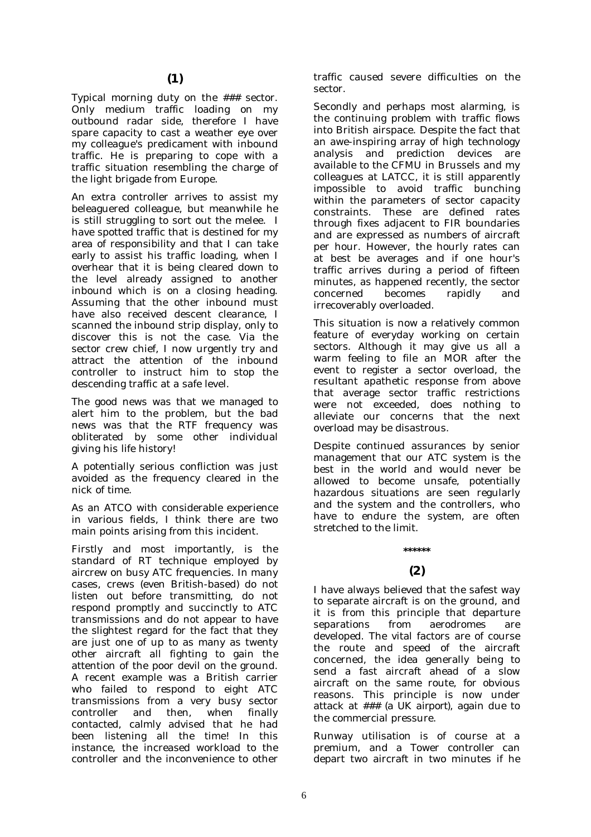Typical morning duty on the ### sector. Only medium traffic loading on my outbound radar side, therefore I have spare capacity to cast a weather eye over my colleague's predicament with inbound traffic. He is preparing to cope with a traffic situation resembling the charge of the light brigade from Europe.

An extra controller arrives to assist my beleaguered colleague, but meanwhile he is still struggling to sort out the melee. I have spotted traffic that is destined for my area of responsibility and that I can take early to assist his traffic loading, when I overhear that it is being cleared down to the level already assigned to another inbound which is on a closing heading. Assuming that the other inbound must have also received descent clearance, I scanned the inbound strip display, only to discover this is not the case. Via the sector crew chief, I now urgently try and attract the attention of the inbound controller to instruct him to stop the descending traffic at a safe level.

The good news was that we managed to alert him to the problem, but the bad news was that the RTF frequency was obliterated by some other individual giving his life history!

A potentially serious confliction was just avoided as the frequency cleared in the nick of time.

As an ATCO with considerable experience in various fields, I think there are two main points arising from this incident.

Firstly and most importantly, is the standard of RT technique employed by aircrew on busy ATC frequencies. In many cases, crews (even British-based) do not listen out before transmitting, do not respond promptly and succinctly to ATC transmissions and do not appear to have the slightest regard for the fact that they are just one of up to as many as twenty other aircraft all fighting to gain the attention of the poor devil on the ground. A recent example was a British carrier who failed to respond to eight ATC transmissions from a very busy sector controller and then, when finally contacted, calmly advised that he had been listening all the time! In this instance, the increased workload to the controller and the inconvenience to other

traffic caused severe difficulties on the sector.

Secondly and perhaps most alarming, is the continuing problem with traffic flows into British airspace. Despite the fact that an awe-inspiring array of high technology analysis and prediction devices are available to the CFMU in Brussels and my colleagues at LATCC, it is still apparently impossible to avoid traffic bunching within the parameters of sector capacity constraints. These are defined rates through fixes adjacent to FIR boundaries and are expressed as numbers of aircraft per hour. However, the hourly rates can at best be averages and if one hour's traffic arrives during a period of fifteen minutes, as happened recently, the sector concerned becomes rapidly and irrecoverably overloaded.

This situation is now a relatively common feature of everyday working on certain sectors. Although it may give us all a warm feeling to file an MOR after the event to register a sector overload, the resultant apathetic response from above that average sector traffic restrictions were not exceeded, does nothing to alleviate our concerns that the next overload may be disastrous.

Despite continued assurances by senior management that our ATC system is the best in the world and would never be allowed to become unsafe, potentially hazardous situations are seen regularly and the system and the controllers, who have to endure the system, are often stretched to the limit.

### **(2)**

**\*\*\*\*\*\*** 

I have always believed that the safest way to separate aircraft is on the ground, and it is from this principle that departure separations from aerodromes are developed. The vital factors are of course the route and speed of the aircraft concerned, the idea generally being to send a fast aircraft ahead of a slow aircraft on the same route, for obvious reasons. This principle is now under attack at ### *(a UK airport)*, again due to the commercial pressure.

Runway utilisation is of course at a premium, and a Tower controller can depart two aircraft in two minutes if he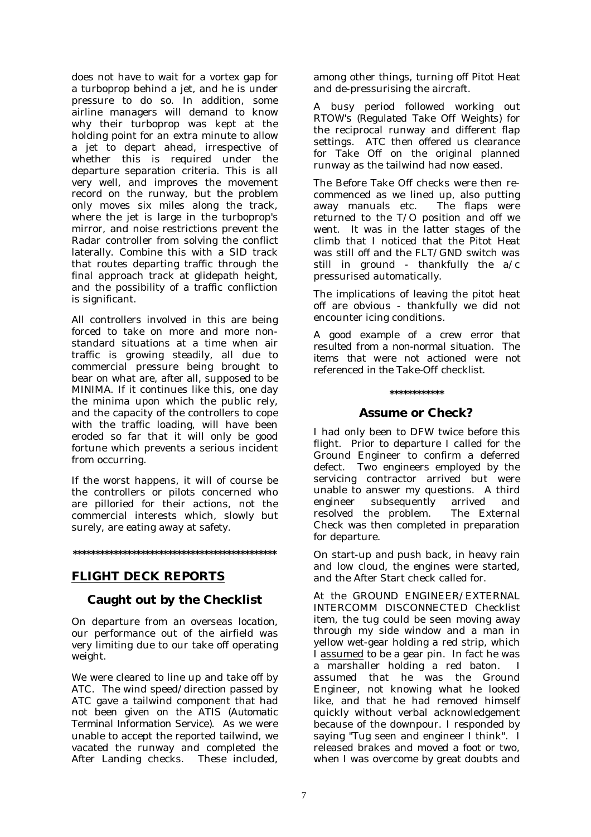does not have to wait for a vortex gap for a turboprop behind a jet, and he is under pressure to do so. In addition, some airline managers will demand to know why their turboprop was kept at the holding point for an extra minute to allow a jet to depart ahead, irrespective of whether this is required under the departure separation criteria. This is all very well, and improves the movement record on the runway, but the problem only moves six miles along the track, where the jet is large in the turboprop's mirror, and noise restrictions prevent the Radar controller from solving the conflict laterally. Combine this with a SID track that routes departing traffic through the final approach track at glidepath height, and the possibility of a traffic confliction is significant.

All controllers involved in this are being forced to take on more and more nonstandard situations at a time when air traffic is growing steadily, all due to commercial pressure being brought to bear on what are, after all, supposed to be MINIMA. If it continues like this, one day the minima upon which the public rely, and the capacity of the controllers to cope with the traffic loading, will have been eroded so far that it will only be good fortune which prevents a serious incident from occurring.

If the worst happens, it will of course be the controllers or pilots concerned who are pilloried for their actions, not the commercial interests which, slowly but surely, are eating away at safety.

#### **\*\*\*\*\*\*\*\*\*\*\*\*\*\*\*\*\*\*\*\*\*\*\*\*\*\*\*\*\*\*\*\*\*\*\*\*\*\*\*\*\*\*\*\*\***

#### **FLIGHT DECK REPORTS**

#### **Caught out by the Checklist**

On departure from *an overseas location*, our performance out of the airfield was very limiting due to our take off operating weight.

We were cleared to line up and take off by ATC. The wind speed/direction passed by ATC gave a tailwind component that had not been given on the ATIS *(Automatic Terminal Information Service)*. As we were unable to accept the reported tailwind, we vacated the runway and completed the After Landing checks. These included,

among other things, turning off Pitot Heat and de-pressurising the aircraft.

A busy period followed working out RTOW's *(Regulated Take Off Weights)* for the reciprocal runway and different flap settings. ATC then offered us clearance for Take Off on the original planned runway as the tailwind had now eased.

The Before Take Off checks were then recommenced as we lined up, also putting away manuals etc. The flaps were returned to the T/O position and off we went. It was in the latter stages of the climb that I noticed that the Pitot Heat was still off and the FLT/GND switch was still in ground - thankfully the a/c pressurised automatically.

The implications of leaving the pitot heat off are obvious - thankfully we did not encounter icing conditions.

*A good example of a crew error that resulted from a non-normal situation. The items that were not actioned were not referenced in the Take-Off checklist.* 

#### **\*\*\*\*\*\*\*\*\*\*\*\***

#### **Assume or Check?**

I had only been to DFW twice before this flight. Prior to departure I called for the Ground Engineer to confirm a deferred defect. Two engineers employed by the servicing contractor arrived but were unable to answer my questions. A third engineer subsequently arrived and resolved the problem. The External Check was then completed in preparation for departure.

On start-up and push back, in heavy rain and low cloud, the engines were started, and the After Start check called for.

At the GROUND ENGINEER/EXTERNAL INTERCOMM DISCONNECTED Checklist item, the tug could be seen moving away through my side window and a man in yellow wet-gear holding a red strip, which I assumed to be a gear pin. In fact he was a marshaller holding a red baton. I assumed that he was the Ground Engineer, not knowing what he looked like, and that he had removed himself quickly without verbal acknowledgement because of the downpour. I responded by saying "Tug seen and engineer I think". I released brakes and moved a foot or two, when I was overcome by great doubts and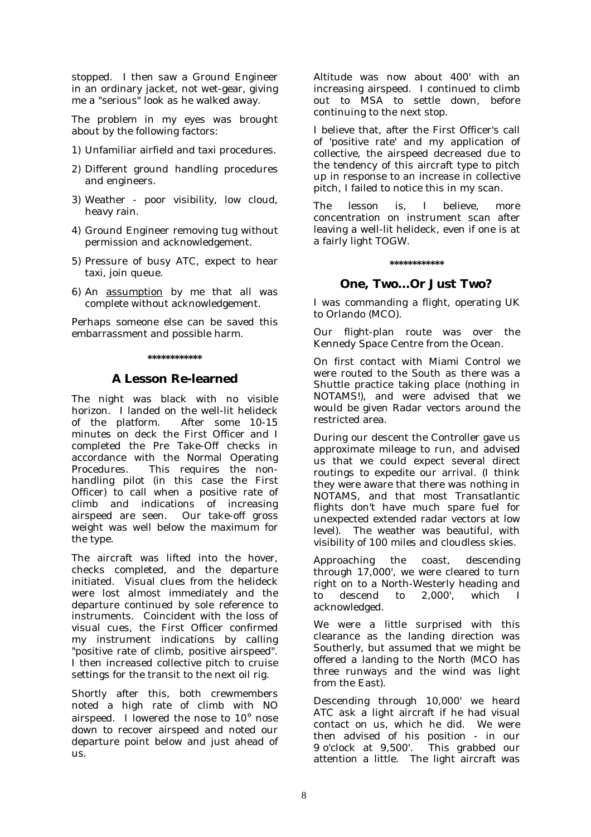stopped. I then saw a Ground Engineer in an ordinary jacket, not wet-gear, giving me a "serious" look as he walked away.

The problem in my eyes was brought about by the following factors:

- 1) Unfamiliar airfield and taxi procedures.
- 2) Different ground handling procedures and engineers.
- 3) Weather poor visibility, low cloud, heavy rain.
- 4) Ground Engineer removing tug without permission and acknowledgement.
- 5) Pressure of busy ATC, expect to hear taxi, join queue.
- 6) An assumption by me that all was complete without acknowledgement.

Perhaps someone else can be saved this embarrassment and possible harm.

#### **\*\*\*\*\*\*\*\*\*\*\*\***

#### **A Lesson Re-learned**

The night was black with no visible horizon. I landed on the well-lit helideck of the platform. After some 10-15 minutes on deck the First Officer and I completed the Pre Take-Off checks in accordance with the Normal Operating Procedures. This requires the nonhandling pilot (in this case the First Officer) to call when a positive rate of climb and indications of increasing airspeed are seen. Our take-off gross weight was well below the maximum for the type.

The aircraft was lifted into the hover, checks completed, and the departure initiated. Visual clues from the helideck were lost almost immediately and the departure continued by sole reference to instruments. Coincident with the loss of visual cues, the First Officer confirmed my instrument indications by calling "positive rate of climb, positive airspeed". I then increased collective pitch to cruise settings for the transit to the next oil rig.

Shortly after this, both crewmembers noted a high rate of climb with NO airspeed. I lowered the nose to 10° nose down to recover airspeed and noted our departure point below and just ahead of  $\overline{11S}$ .

Altitude was now about 400' with an increasing airspeed. I continued to climb out to MSA to settle down, before continuing to the next stop.

I believe that, after the First Officer's call of 'positive rate' and my application of collective, the airspeed decreased due to the tendency of this aircraft type to pitch up in response to an increase in collective pitch, I failed to notice this in my scan.

The lesson is, I believe, more concentration on instrument scan after leaving a well-lit helideck, even if one is at a fairly light TOGW.

#### **\*\*\*\*\*\*\*\*\*\*\*\***

#### **One, Two…Or Just Two?**

I was commanding a flight, operating UK to Orlando (MCO).

Our flight-plan route was over the Kennedy Space Centre from the Ocean.

On first contact with Miami Control we were routed to the South as there was a Shuttle practice taking place (nothing in NOTAMS!), and were advised that we would be given Radar vectors around the restricted area.

During our descent the Controller gave us approximate mileage to run, and advised us that we could expect several direct routings to expedite our arrival. (I think they were aware that there was nothing in NOTAMS, and that most Transatlantic flights don't have much spare fuel for unexpected extended radar vectors at low level). The weather was beautiful, with visibility of 100 miles and cloudless skies.

Approaching the coast, descending through 17,000', we were cleared to turn right on to a North-Westerly heading and to descend to 2,000', which I acknowledged.

We were a little surprised with this clearance as the landing direction was Southerly, but assumed that we might be offered a landing to the North (MCO has three runways and the wind was light from the East).

Descending through 10,000' we heard ATC ask a light aircraft if he had visual contact on us, which he did. We were then advised of his position - in our 9 o'clock at 9,500'. This grabbed our attention a little. The light aircraft was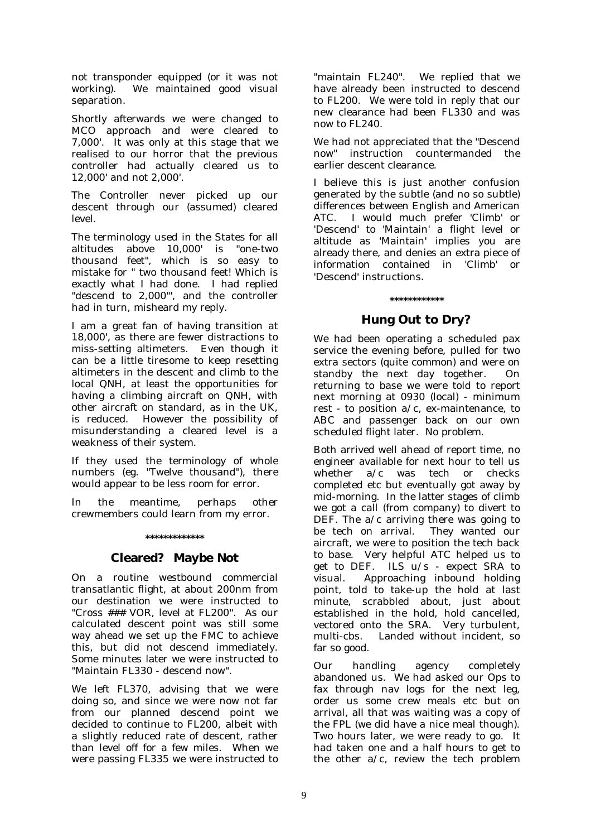not transponder equipped (or it was not working). We maintained good visual separation.

Shortly afterwards we were changed to MCO approach and were cleared to 7,000'. It was only at this stage that we realised to our horror that the previous controller had actually cleared us to 12,000' and not 2,000'.

The Controller never picked up our descent through our (assumed) cleared level.

The terminology used in the States for all altitudes above 10,000' is "one-two thousand feet", which is so easy to mistake for " two thousand feet! Which is exactly what I had done. I had replied "descend to 2,000'", and the controller had in turn, misheard my reply.

I am a great fan of having transition at 18,000', as there are fewer distractions to miss-setting altimeters. Even though it can be a little tiresome to keep resetting altimeters in the descent and climb to the local QNH, at least the opportunities for having a climbing aircraft on QNH, with other aircraft on standard, as in the UK, is reduced. However the possibility of misunderstanding a cleared level is a weakness of their system.

If they used the terminology of whole numbers (eg. "Twelve thousand"), there would appear to be less room for error.

In the meantime, perhaps other crewmembers could learn from my error.

#### **\*\*\*\*\*\*\*\*\*\*\*\*\***

#### **Cleared? Maybe Not**

On a routine westbound commercial transatlantic flight, at about 200nm from our destination we were instructed to "Cross ### VOR, level at FL200". As our calculated descent point was still some way ahead we set up the FMC to achieve this, but did not descend immediately. Some minutes later we were instructed to "Maintain FL330 - descend now".

We left FL370, advising that we were doing so, and since we were now not far from our planned descend point we decided to continue to FL200, albeit with a slightly reduced rate of descent, rather than level off for a few miles. When we were passing FL335 we were instructed to

"maintain FL240". We replied that we have already been instructed to descend to FL200. We were told in reply that our new clearance had been FL330 and was now to FL240.

We had not appreciated that the "Descend now" instruction countermanded the earlier descent clearance.

I believe this is just another confusion generated by the subtle (and no so subtle) differences between English and American ATC. I would much prefer 'Climb' or 'Descend' to 'Maintain' a flight level or altitude as 'Maintain' implies you are already there, and denies an extra piece of information contained in 'Climb' or 'Descend' instructions.

# **\*\*\*\*\*\*\*\*\*\*\*\***

#### **Hung Out to Dry?**

We had been operating a scheduled pax service the evening before, pulled for two extra sectors (quite common) and were on standby the next day together. On returning to base we were told to report next morning at 0930 (local) - minimum rest - to position a/c, ex-maintenance, to ABC and passenger back on our own scheduled flight later. No problem.

Both arrived well ahead of report time, no engineer available for next hour to tell us whether  $a/c$  was tech or checks completed etc but eventually got away by mid-morning. In the latter stages of climb we got a call (from company) to divert to DEF. The a/c arriving there was going to be tech on arrival. They wanted our aircraft, we were to position the tech back to base. Very helpful ATC helped us to get to DEF. ILS u/s - expect SRA to visual. Approaching inbound holding point, told to take-up the hold at last minute, scrabbled about, just about established in the hold, hold cancelled, vectored onto the SRA. Very turbulent, multi-cbs. Landed without incident, so far so good.

Our handling agency completely abandoned us. We had asked our Ops to fax through nav logs for the next leg, order us some crew meals etc but on arrival, all that was waiting was a copy of the FPL (we did have a nice meal though). Two hours later, we were ready to go. It had taken one and a half hours to get to the other a/c, review the tech problem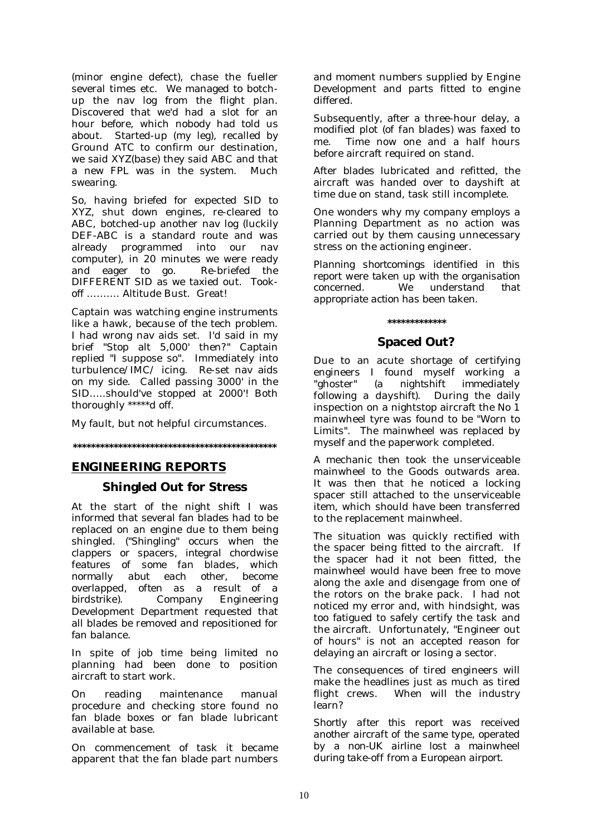(minor engine defect), chase the fueller several times etc. We managed to botchup the nav log from the flight plan. Discovered that we'd had a slot for an hour before, which nobody had told us about. Started-up (my leg), recalled by Ground ATC to confirm our destination, we said XYZ(*base*) they said ABC and that a new FPL was in the system. Much swearing.

So, having briefed for expected SID to XYZ, shut down engines, re-cleared to ABC, botched-up another nav log (luckily DEF-ABC is a standard route and was already programmed into our nav computer), in 20 minutes we were ready and eager to go. Re-briefed the DIFFERENT SID as we taxied out. Tookoff ………. Altitude Bust. Great!

Captain was watching engine instruments like a hawk, because of the tech problem. I had wrong nav aids set. I'd said in my brief "Stop alt 5,000' then?" Captain replied "I suppose so". Immediately into turbulence/IMC/ icing. Re-set nav aids on my side. Called passing 3000' in the SID…..should've stopped at 2000'! Both thoroughly \*\*\*\*\*d off.

My fault, but not helpful circumstances.

**\*\*\*\*\*\*\*\*\*\*\*\*\*\*\*\*\*\*\*\*\*\*\*\*\*\*\*\*\*\*\*\*\*\*\*\*\*\*\*\*\*\*\*\*\*** 

#### **ENGINEERING REPORTS**

#### **Shingled Out for Stress**

At the start of the night shift I was informed that several fan blades had to be replaced on an engine due to them being shingled. *("Shingling" occurs when the clappers or spacers, integral chordwise features of some fan blades, which normally abut each other, become overlapped, often as a result of a birdstrike).* Company Engineering Development Department requested that all blades be removed and repositioned for fan balance.

In spite of job time being limited no planning had been done to position aircraft to start work.

On reading maintenance manual procedure and checking store found no fan blade boxes or fan blade lubricant available at base.

On commencement of task it became apparent that the fan blade part numbers and moment numbers supplied by Engine Development and parts fitted to engine differed.

Subsequently, after a three-hour delay, a modified plot *(of fan blades)* was faxed to me. Time now one and a half hours before aircraft required on stand.

After blades lubricated and refitted, the aircraft was handed over to dayshift at time due on stand, task still incomplete.

One wonders why my company employs a Planning Department as no action was carried out by them causing unnecessary stress on the actioning engineer.

*Planning shortcomings identified in this report were taken up with the organisation concerned. We understand that appropriate action has been taken.* 

#### **\*\*\*\*\*\*\*\*\*\*\*\*\***

#### **Spaced Out?**

Due to an acute shortage of certifying engineers I found myself working a "ghoster" *(a nightshift immediately following a dayshift)*. During the daily inspection on a nightstop aircraft the No 1 mainwheel tyre was found to be "Worn to Limits". The mainwheel was replaced by myself and the paperwork completed.

A mechanic then took the unserviceable mainwheel to the Goods outwards area. It was then that he noticed a locking spacer still attached to the unserviceable item, which should have been transferred to the replacement mainwheel.

The situation was quickly rectified with the spacer being fitted to the aircraft. If the spacer had it not been fitted, the mainwheel would have been free to move along the axle and disengage from one of the rotors on the brake pack. I had not noticed my error and, with hindsight, was too fatigued to safely certify the task and the aircraft. Unfortunately, "Engineer out of hours" is not an accepted reason for delaying an aircraft or losing a sector.

The consequences of tired engineers will make the headlines just as much as tired flight crews. When will the industry learn?

*Shortly after this report was received another aircraft of the same type, operated by a non-UK airline lost a mainwheel during take-off from a European airport.*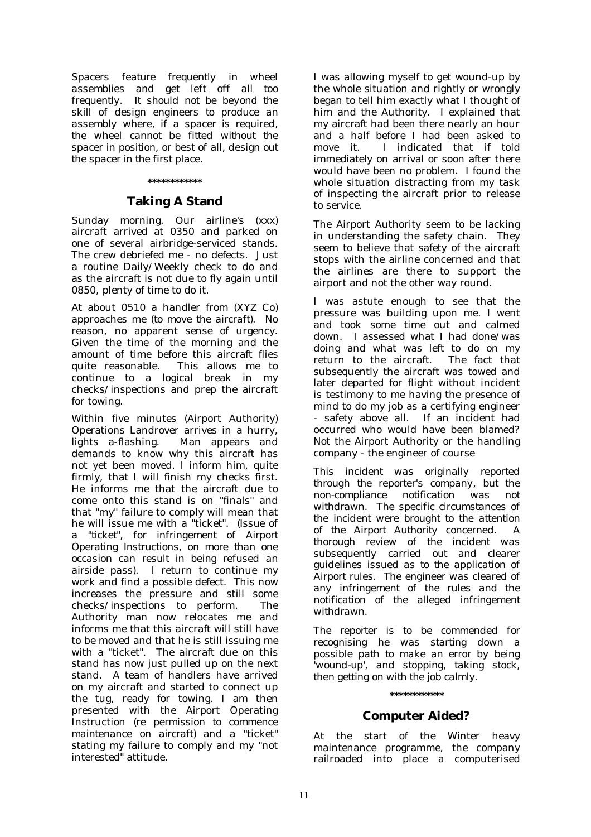*Spacers feature frequently in wheel assemblies and get left off all too frequently. It should not be beyond the skill of design engineers to produce an assembly where, if a spacer is required, the wheel cannot be fitted without the spacer in position, or best of all, design out the spacer in the first place.* 

#### **\*\*\*\*\*\*\*\*\*\*\*\***

#### **Taking A Stand**

Sunday morning. Our airline's (xxx) aircraft arrived at 0350 and parked on one of several airbridge-serviced stands. The crew debriefed me - no defects. Just a routine Daily/Weekly check to do and as the aircraft is not due to fly again until 0850, plenty of time to do it.

At about 0510 a handler from (XYZ Co) approaches me (*to move the aircraft)*. No reason, no apparent sense of urgency. Given the time of the morning and the amount of time before this aircraft flies quite reasonable. This allows me to continue to a logical break in my checks/inspections and prep the aircraft for towing.

Within five minutes (Airport Authority) Operations Landrover arrives in a hurry, lights a-flashing. Man appears and demands to know why this aircraft has not yet been moved. I inform him, quite firmly, that I will finish my checks first. He informs me that the aircraft due to come onto this stand is on "finals" and that "my" failure to comply will mean that he will issue me with a "ticket". *(Issue of a "ticket", for infringement of Airport Operating Instructions, on more than one occasion can result in being refused an airside pass).* I return to continue my work and find a possible defect. This now increases the pressure and still some checks/inspections to perform. The Authority man now relocates me and informs me that this aircraft will still have to be moved and that he is still issuing me with a "ticket". The aircraft due on this stand has now just pulled up on the next stand. A team of handlers have arrived on my aircraft and started to connect up the tug, ready for towing. I am then presented with the Airport Operating Instruction *(re permission to commence maintenance on aircraft)* and a "ticket" stating my failure to comply and my "not interested" attitude.

I was allowing myself to get wound-up by the whole situation and rightly or wrongly began to tell him exactly what I thought of him and the Authority. I explained that my aircraft had been there nearly an hour and a half before I had been asked to move it. I indicated that if told immediately on arrival or soon after there would have been no problem. I found the whole situation distracting from my task of inspecting the aircraft prior to release to service.

The Airport Authority seem to be lacking in understanding the safety chain. They seem to believe that safety of the aircraft stops with the airline concerned and that the airlines are there to support the airport and not the other way round.

I was astute enough to see that the pressure was building upon me. I went and took some time out and calmed down. I assessed what I had done/was doing and what was left to do on my return to the aircraft. The fact that subsequently the aircraft was towed and later departed for flight without incident is testimony to me having the presence of mind to do my job as a certifying engineer - safety above all. If an incident had occurred who would have been blamed? Not the Airport Authority or the handling company - the engineer of course

*This incident was originally reported through the reporter's company, but the non-compliance notification was not withdrawn. The specific circumstances of the incident were brought to the attention of the Airport Authority concerned. A thorough review of the incident was subsequently carried out and clearer guidelines issued as to the application of Airport rules. The engineer was cleared of any infringement of the rules and the notification of the alleged infringement withdrawn.* 

*The reporter is to be commended for recognising he was starting down a possible path to make an error by being 'wound-up', and stopping, taking stock, then getting on with the job calmly.* 

#### **\*\*\*\*\*\*\*\*\*\*\*\***

#### **Computer Aided?**

At the start of the Winter heavy maintenance programme, the company railroaded into place a computerised